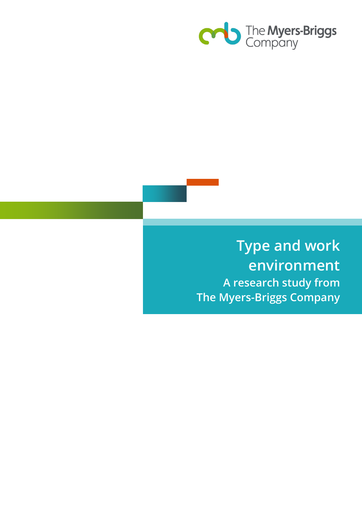

**Type and work environment A research study from The Myers-Briggs Company**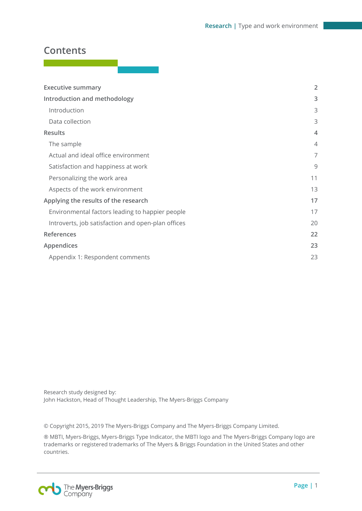# **Contents**

| <b>Executive summary</b>                           | $\overline{2}$ |
|----------------------------------------------------|----------------|
| Introduction and methodology                       | 3              |
| Introduction                                       | 3              |
| Data collection                                    | 3              |
| <b>Results</b>                                     | $\overline{4}$ |
| The sample                                         | $\overline{4}$ |
| Actual and ideal office environment                | 7              |
| Satisfaction and happiness at work                 | 9              |
| Personalizing the work area                        | 11             |
| Aspects of the work environment                    | 13             |
| Applying the results of the research               | 17             |
| Environmental factors leading to happier people    | 17             |
| Introverts, job satisfaction and open-plan offices | 20             |
| References                                         | 22             |
| Appendices                                         | 23             |
| Appendix 1: Respondent comments                    | 23             |

Research study designed by: John Hackston, Head of Thought Leadership, The Myers-Briggs Company

© Copyright 2015, 2019 The Myers-Briggs Company and The Myers-Briggs Company Limited.

® MBTI, Myers-Briggs, Myers-Briggs Type Indicator, the MBTI logo and The Myers-Briggs Company logo are trademarks or registered trademarks of The Myers & Briggs Foundation in the United States and other countries.

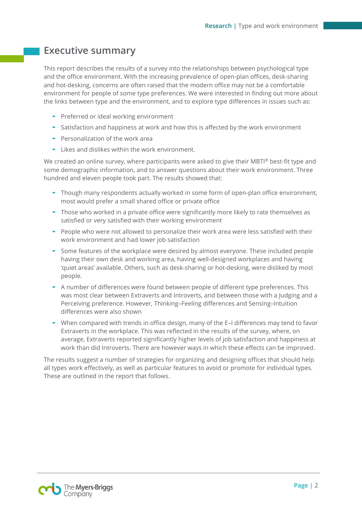# <span id="page-2-0"></span>**Executive summary**

This report describes the results of a survey into the relationships between psychological type and the office environment. With the increasing prevalence of open-plan offices, desk-sharing and hot-desking, concerns are often raised that the modern office may not be a comfortable environment for people of some type preferences. We were interested in finding out more about the links between type and the environment, and to explore type differences in issues such as:

- Preferred or ideal working environment
- Satisfaction and happiness at work and how this is affected by the work environment
- $\blacksquare$  Personalization of the work area
- Likes and dislikes within the work environment.

We created an online survey, where participants were asked to give their MBTI® best-fit type and some demographic information, and to answer questions about their work environment. Three hundred and eleven people took part. The results showed that:

- Though many respondents actually worked in some form of open-plan office environment, most would prefer a small shared office or private office
- Those who worked in a private office were significantly more likely to rate themselves as satisfied or very satisfied with their working environment
- People who were not allowed to personalize their work area were less satisfied with their work environment and had lower job satisfaction
- Some features of the workplace were desired by almost everyone. These included people having their own desk and working area, having well-designed workplaces and having 'quiet areas' available. Others, such as desk-sharing or hot-desking, were disliked by most people.
- A number of differences were found between people of different type preferences. This was most clear between Extraverts and Introverts, and between those with a Judging and a Perceiving preference. However, Thinking–Feeling differences and Sensing–Intuition differences were also shown
- When compared with trends in office design, many of the E–I differences may tend to favor Extraverts in the workplace. This was reflected in the results of the survey, where, on average, Extraverts reported significantly higher levels of job satisfaction and happiness at work than did Introverts. There are however ways in which these effects can be improved.

The results suggest a number of strategies for organizing and designing offices that should help all types work effectively, as well as particular features to avoid or promote for individual types. These are outlined in the report that follows.

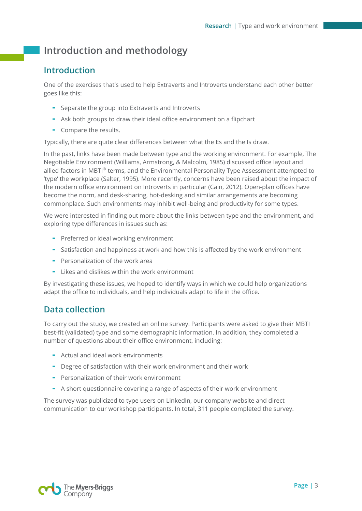# <span id="page-3-0"></span>**Introduction and methodology**

## <span id="page-3-1"></span>**Introduction**

One of the exercises that's used to help Extraverts and Introverts understand each other better goes like this:

- Separate the group into Extraverts and Introverts
- Ask both groups to draw their ideal office environment on a flipchart
- Compare the results.

Typically, there are quite clear differences between what the Es and the Is draw.

In the past, links have been made between type and the working environment. For example, The Negotiable Environment (Williams, Armstrong, & Malcolm, 1985) discussed office layout and allied factors in MBTI® terms, and the Environmental Personality Type Assessment attempted to 'type' the workplace (Salter, 1995). More recently, concerns have been raised about the impact of the modern office environment on Introverts in particular (Cain, 2012). Open-plan offices have become the norm, and desk-sharing, hot-desking and similar arrangements are becoming commonplace. Such environments may inhibit well-being and productivity for some types.

We were interested in finding out more about the links between type and the environment, and exploring type differences in issues such as:

- Preferred or ideal working environment
- Satisfaction and happiness at work and how this is affected by the work environment
- $\blacksquare$  Personalization of the work area
- Likes and dislikes within the work environment

By investigating these issues, we hoped to identify ways in which we could help organizations adapt the office to individuals, and help individuals adapt to life in the office.

## <span id="page-3-2"></span>**Data collection**

To carry out the study, we created an online survey. Participants were asked to give their MBTI best-fit (validated) type and some demographic information. In addition, they completed a number of questions about their office environment, including:

- Actual and ideal work environments
- Degree of satisfaction with their work environment and their work
- Personalization of their work environment
- A short questionnaire covering a range of aspects of their work environment

The survey was publicized to type users on LinkedIn, our company website and direct communication to our workshop participants. In total, 311 people completed the survey.

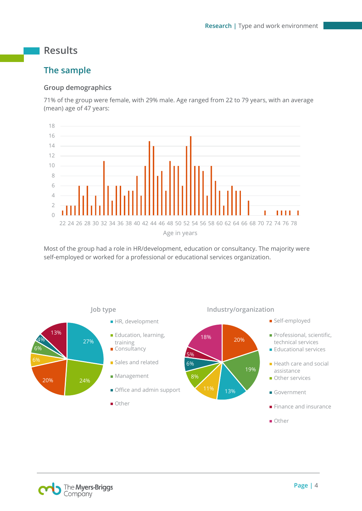# <span id="page-4-0"></span>**Results**

# <span id="page-4-1"></span>**The sample**

## **Group demographics**

71% of the group were female, with 29% male. Age ranged from 22 to 79 years, with an average (mean) age of 47 years:



Most of the group had a role in HR/development, education or consultancy. The majority were self-employed or worked for a professional or educational services organization.



The Myers-Briggs Company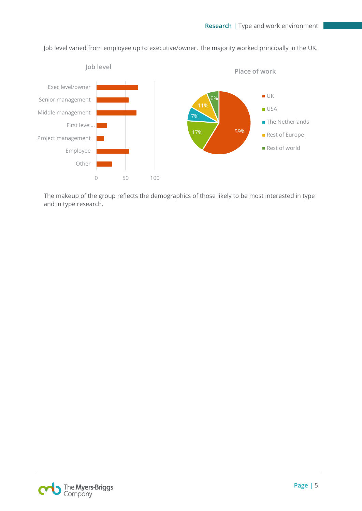

Job level varied from employee up to executive/owner. The majority worked principally in the UK.

The makeup of the group reflects the demographics of those likely to be most interested in type and in type research.

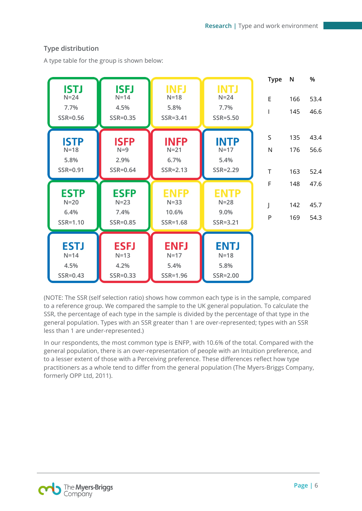## **Type distribution**

A type table for the group is shown below:

| <b>ISTJ</b><br>$N=24$<br>7.7%<br>SSR=0.56 | <b>ISFJ</b><br>$N=14$<br>4.5%<br>SSR=0.35 | <b>INFJ</b><br>$N=18$<br>5.8%<br>SSR=3.41     | <b>INTJ</b><br>$N=24$<br>7.7%<br>SSR=5.50 | <b>Type</b><br>E      | N<br>166<br>145   | %<br>53.4<br>46.6    |
|-------------------------------------------|-------------------------------------------|-----------------------------------------------|-------------------------------------------|-----------------------|-------------------|----------------------|
| <b>ISTP</b><br>$N=18$<br>5.8%<br>SSR=0.91 | <b>ISFP</b><br>$N=9$<br>2.9%<br>SSR=0.64  | <b>INFP</b><br>$N=21$<br>6.7%<br>$SSR = 2.13$ | <b>INTP</b><br>$N=17$<br>5.4%<br>SSR=2.29 | S<br>N<br>$\mathsf T$ | 135<br>176<br>163 | 43.4<br>56.6<br>52.4 |
| <b>ESTP</b><br>$N=20$<br>6.4%<br>SSR=1.10 | <b>ESFP</b><br>$N=23$<br>7.4%<br>SSR=0.85 | <b>ENFP</b><br>$N = 33$<br>10.6%<br>SSR=1.68  | <b>ENTP</b><br>$N=28$<br>9.0%<br>SSR=3.21 | F<br>J<br>P           | 148<br>142<br>169 | 47.6<br>45.7<br>54.3 |
| <b>ESTJ</b><br>$N=14$<br>4.5%<br>SSR=0.43 | <b>ESFJ</b><br>$N=13$<br>4.2%<br>SSR=0.33 | <b>ENFJ</b><br>$N=17$<br>5.4%<br>SSR=1.96     | <b>ENTJ</b><br>$N=18$<br>5.8%<br>SSR=2.00 |                       |                   |                      |

(NOTE: The SSR (self selection ratio) shows how common each type is in the sample, compared to a reference group. We compared the sample to the UK general population. To calculate the SSR, the percentage of each type in the sample is divided by the percentage of that type in the general population. Types with an SSR greater than 1 are over-represented; types with an SSR less than 1 are under-represented.)

In our respondents, the most common type is ENFP, with 10.6% of the total. Compared with the general population, there is an over-representation of people with an Intuition preference, and to a lesser extent of those with a Perceiving preference. These differences reflect how type practitioners as a whole tend to differ from the general population (The Myers-Briggs Company, formerly OPP Ltd, 2011).

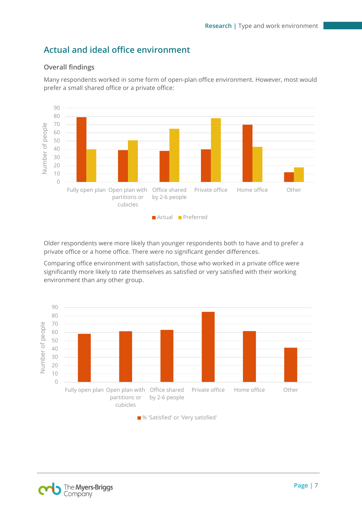## <span id="page-7-0"></span>**Actual and ideal office environment**

## **Overall findings**

Many respondents worked in some form of open-plan office environment. However, most would prefer a small shared office or a private office:



Older respondents were more likely than younger respondents both to have and to prefer a private office or a home office. There were no significant gender differences.

Comparing office environment with satisfaction, those who worked in a private office were significantly more likely to rate themselves as satisfied or very satisfied with their working environment than any other group.



■ % 'Satisfied' or 'Very satisfied'

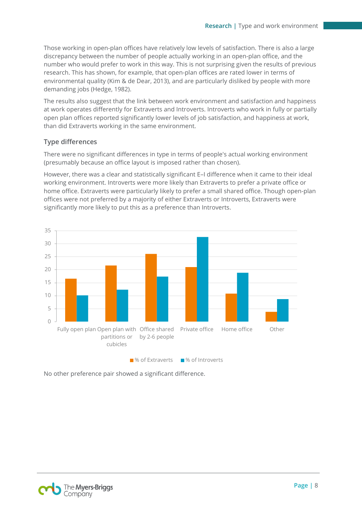Those working in open-plan offices have relatively low levels of satisfaction. There is also a large discrepancy between the number of people actually working in an open-plan office, and the number who would prefer to work in this way. This is not surprising given the results of previous research. This has shown, for example, that open-plan offices are rated lower in terms of environmental quality (Kim & de Dear, 2013), and are particularly disliked by people with more demanding jobs (Hedge, 1982).

The results also suggest that the link between work environment and satisfaction and happiness at work operates differently for Extraverts and Introverts. Introverts who work in fully or partially open plan offices reported significantly lower levels of job satisfaction, and happiness at work, than did Extraverts working in the same environment.

### **Type differences**

There were no significant differences in type in terms of people's actual working environment (presumably because an office layout is imposed rather than chosen).

However, there was a clear and statistically significant E–I difference when it came to their ideal working environment. Introverts were more likely than Extraverts to prefer a private office or home office. Extraverts were particularly likely to prefer a small shared office. Though open-plan offices were not preferred by a majority of either Extraverts or Introverts, Extraverts were significantly more likely to put this as a preference than Introverts.



No other preference pair showed a significant difference.

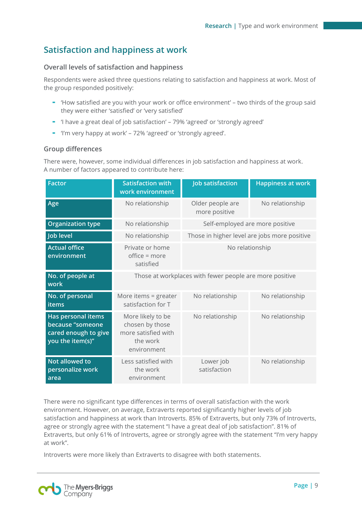# <span id="page-9-0"></span>**Satisfaction and happiness at work**

## **Overall levels of satisfaction and happiness**

Respondents were asked three questions relating to satisfaction and happiness at work. Most of the group responded positively:

- 'How satisfied are you with your work or office environment' two thirds of the group said they were either 'satisfied' or 'very satisfied'
- 'I have a great deal of job satisfaction' 79% 'agreed' or 'strongly agreed'
- 'I'm very happy at work' 72% 'agreed' or 'strongly agreed'.

### **Group differences**

There were, however, some individual differences in job satisfaction and happiness at work. A number of factors appeared to contribute here:

| <b>Factor</b>                                                                      | <b>Satisfaction with</b><br>work environment                                           | <b>Job satisfaction</b>                      | <b>Happiness at work</b> |  |
|------------------------------------------------------------------------------------|----------------------------------------------------------------------------------------|----------------------------------------------|--------------------------|--|
| Age                                                                                | No relationship                                                                        | Older people are<br>more positive            | No relationship          |  |
| <b>Organization type</b>                                                           | No relationship                                                                        | Self-employed are more positive              |                          |  |
| Job level                                                                          | No relationship                                                                        | Those in higher level are jobs more positive |                          |  |
| <b>Actual office</b><br>environment                                                | Private or home<br>office = more<br>satisfied                                          | No relationship                              |                          |  |
| No. of people at<br>work                                                           | Those at workplaces with fewer people are more positive                                |                                              |                          |  |
| No. of personal<br><b>items</b>                                                    | More items $=$ greater<br>satisfaction for T                                           | No relationship                              | No relationship          |  |
| Has personal items<br>because "someone<br>cared enough to give<br>you the item(s)" | More likely to be<br>chosen by those<br>more satisfied with<br>the work<br>environment | No relationship                              | No relationship          |  |
| Not allowed to<br>personalize work<br>area                                         | Less satisfied with<br>the work<br>environment                                         | Lower job<br>satisfaction                    | No relationship          |  |

There were no significant type differences in terms of overall satisfaction with the work environment. However, on average, Extraverts reported significantly higher levels of job satisfaction and happiness at work than Introverts. 85% of Extraverts, but only 73% of Introverts, agree or strongly agree with the statement "I have a great deal of job satisfaction". 81% of Extraverts, but only 61% of Introverts, agree or strongly agree with the statement "I'm very happy at work".

Introverts were more likely than Extraverts to disagree with both statements.

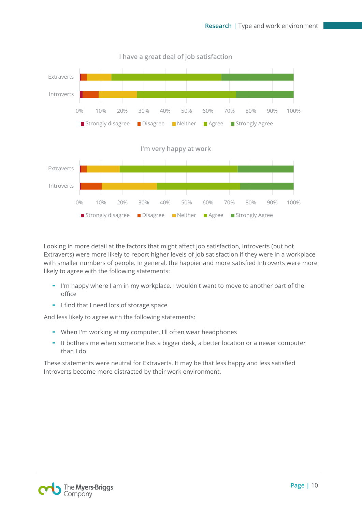

Looking in more detail at the factors that might affect job satisfaction, Introverts (but not Extraverts) were more likely to report higher levels of job satisfaction if they were in a workplace with smaller numbers of people. In general, the happier and more satisfied Introverts were more likely to agree with the following statements:

- I'm happy where I am in my workplace. I wouldn't want to move to another part of the office
- I find that I need lots of storage space

And less likely to agree with the following statements:

- When I'm working at my computer, I'll often wear headphones
- It bothers me when someone has a bigger desk, a better location or a newer computer than I do

These statements were neutral for Extraverts. It may be that less happy and less satisfied Introverts become more distracted by their work environment.

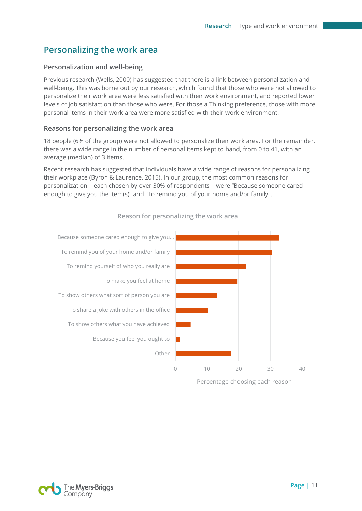# <span id="page-11-0"></span>**Personalizing the work area**

## **Personalization and well-being**

Previous research (Wells, 2000) has suggested that there is a link between personalization and well-being. This was borne out by our research, which found that those who were not allowed to personalize their work area were less satisfied with their work environment, and reported lower levels of job satisfaction than those who were. For those a Thinking preference, those with more personal items in their work area were more satisfied with their work environment.

### **Reasons for personalizing the work area**

18 people (6% of the group) were not allowed to personalize their work area. For the remainder, there was a wide range in the number of personal items kept to hand, from 0 to 41, with an average (median) of 3 items.

Recent research has suggested that individuals have a wide range of reasons for personalizing their workplace (Byron & Laurence, 2015). In our group, the most common reasons for personalization – each chosen by over 30% of respondents – were "Because someone cared enough to give you the item(s)" and "To remind you of your home and/or family".



### **Reason for personalizing the work area**

Percentage choosing each reason

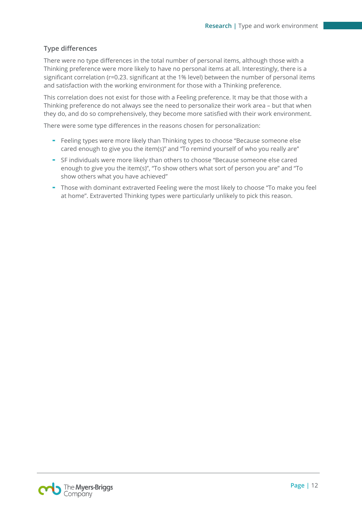## **Type differences**

There were no type differences in the total number of personal items, although those with a Thinking preference were more likely to have no personal items at all. Interestingly, there is a significant correlation (r=0.23. significant at the 1% level) between the number of personal items and satisfaction with the working environment for those with a Thinking preference.

This correlation does not exist for those with a Feeling preference. It may be that those with a Thinking preference do not always see the need to personalize their work area – but that when they do, and do so comprehensively, they become more satisfied with their work environment.

There were some type differences in the reasons chosen for personalization:

- Feeling types were more likely than Thinking types to choose "Because someone else cared enough to give you the item(s)" and "To remind yourself of who you really are"
- SF individuals were more likely than others to choose "Because someone else cared enough to give you the item(s)", "To show others what sort of person you are" and "To show others what you have achieved"
- Those with dominant extraverted Feeling were the most likely to choose "To make you feel at home". Extraverted Thinking types were particularly unlikely to pick this reason.

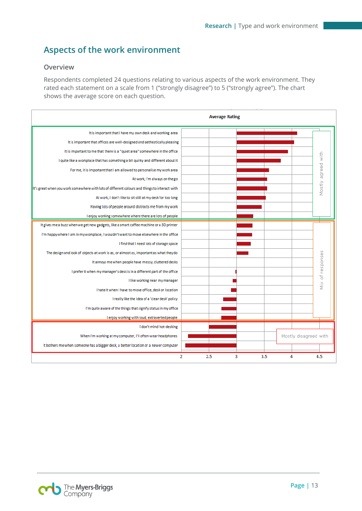# <span id="page-13-0"></span>**Aspects of the work environment**

### **Overview**

Respondents completed 24 questions relating to various aspects of the work environment. They rated each statement on a scale from 1 ("strongly disagree") to 5 ("strongly agree"). The chart shows the average score on each question.

|                                                                                               |     | <b>Average Rating</b> |     |                       |               |
|-----------------------------------------------------------------------------------------------|-----|-----------------------|-----|-----------------------|---------------|
| It is important that I have my own desk and working area                                      |     |                       |     |                       |               |
| It is important that offices are well-designed and aethestically pleasing                     |     |                       |     |                       |               |
| It is important to me that there is a "quiet area" somewhere in the office                    |     |                       |     |                       |               |
| I quite like a workplace that has something a bit quirky and different about it               |     |                       |     |                       | with          |
| For me, it is important that I am allowed to personalise my work area                         |     |                       |     |                       | agreed        |
| At work, I'm always on the go                                                                 |     |                       |     |                       |               |
| It's great when you work somewhere with lots of different colours and things to interact with |     |                       |     |                       | Mostly        |
| At work, I don't like to sit still at my desk for too long                                    |     |                       |     |                       |               |
| Having lots of people around distracts me from my work                                        |     |                       |     |                       |               |
| I enjoy working somewhere where there are lots of people                                      |     |                       |     |                       |               |
| It gives me a buzz when we get new gadgets, like a smart coffee machine or a 3D printer       |     |                       |     |                       |               |
| I'm happy where I am in my workplace; I wouldn't want to move elsewhere in the office         |     |                       |     |                       |               |
| I find that I need lots of storage space                                                      |     |                       |     |                       |               |
| The design and look of objects at work is as, or almost as, important as what they do         |     |                       |     |                       |               |
| It annoys me when people have messy, cluttered desks                                          |     |                       |     |                       |               |
| I prefer it when my manager's desk is in a different part of the office                       |     |                       |     |                       | of responses  |
| I like working near my manager                                                                |     |                       |     |                       | $\frac{8}{2}$ |
| I hate it when I have to move office, desk or location                                        |     |                       |     |                       |               |
| I really like the idea of a 'clear desk' policy                                               |     |                       |     |                       |               |
| I'm quite aware of the things that signify status in my office                                |     |                       |     |                       |               |
| I enjoy working with loud, extraverted people                                                 |     |                       |     |                       |               |
| I don't mind hot-desking                                                                      |     |                       |     |                       |               |
| When I'm working at my computer, I'll often wear headphones                                   |     |                       |     | Mostly disagreed with |               |
| It bothers me when someone has a bigger desk, a better location or a newer computer           |     |                       |     |                       |               |
| $\overline{2}$                                                                                | 2.5 | 3                     | 3.5 | 4                     | 4.5           |

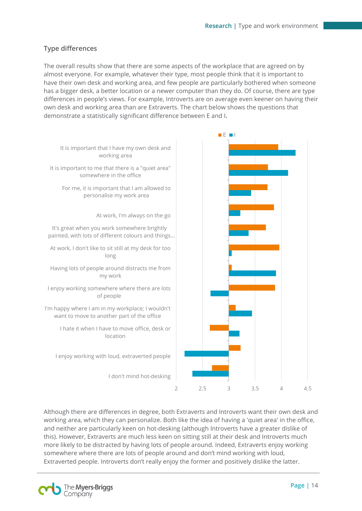## **Type differences**

The overall results show that there are some aspects of the workplace that are agreed on by almost everyone. For example, whatever their type, most people think that it is important to have their own desk and working area, and few people are particularly bothered when someone has a bigger desk, a better location or a newer computer than they do. Of course, there are type differences in people's views. For example, Introverts are on average even keener on having their own desk and working area than are Extraverts. The chart below shows the questions that demonstrate a statistically significant difference between E and I.



Although there are differences in degree, both Extraverts and Introverts want their own desk and working area, which they can personalize. Both like the idea of having a 'quiet area' in the office, and neither are particularly keen on hot-desking (although Introverts have a greater dislike of this). However, Extraverts are much less keen on sitting still at their desk and Introverts much more likely to be distracted by having lots of people around. Indeed, Extraverts enjoy working somewhere where there are lots of people around and don't mind working with loud, Extraverted people. Introverts don't really enjoy the former and positively dislike the latter.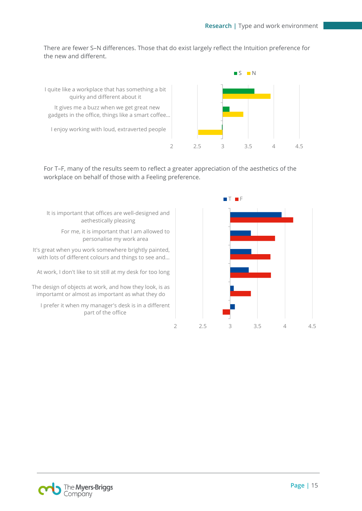There are fewer S–N differences. Those that do exist largely reflect the Intuition preference for the new and different.



For T–F, many of the results seem to reflect a greater appreciation of the aesthetics of the workplace on behalf of those with a Feeling preference.



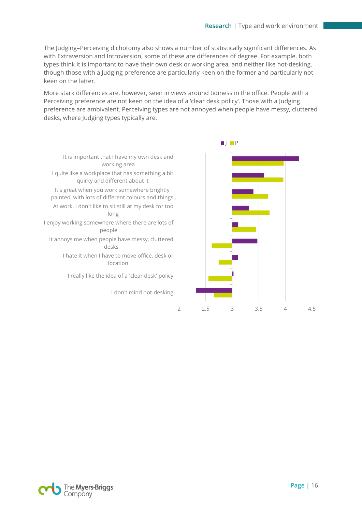The Judging–Perceiving dichotomy also shows a number of statistically significant differences. As with Extraversion and Introversion, some of these are differences of degree. For example, both types think it is important to have their own desk or working area, and neither like hot-desking, though those with a Judging preference are particularly keen on the former and particularly not keen on the latter.

More stark differences are, however, seen in views around tidiness in the office. People with a Perceiving preference are not keen on the idea of a 'clear desk policy'. Those with a Judging preference are ambivalent. Perceiving types are not annoyed when people have messy, cluttered desks, where Judging types typically are.





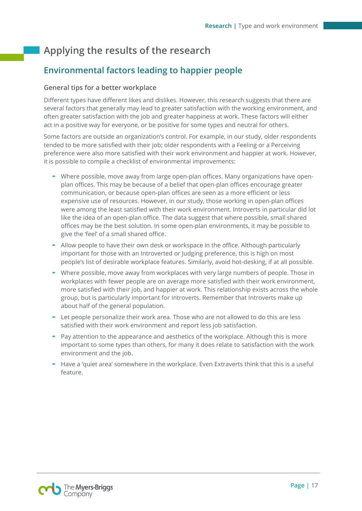# <span id="page-17-0"></span>**Applying the results of the research**

# <span id="page-17-1"></span>**Environmental factors leading to happier people**

### **General tips for a better workplace**

Different types have different likes and dislikes. However, this research suggests that there are several factors that generally may lead to greater satisfaction with the working environment, and often greater satisfaction with the job and greater happiness at work. These factors will either act in a positive way for everyone, or be positive for some types and neutral for others.

Some factors are outside an organization's control. For example, in our study, older respondents tended to be more satisfied with their job; older respondents with a Feeling or a Perceiving preference were also more satisfied with their work environment and happier at work. However, it is possible to compile a checklist of environmental improvements:

- Where possible, move away from large open-plan offices. Many organizations have openplan offices. This may be because of a belief that open-plan offices encourage greater communication, or because open-plan offices are seen as a more efficient or less expensive use of resources. However, in our study, those working in open-plan offices were among the least satisfied with their work environment. Introverts in particular did lot like the idea of an open-plan office. The data suggest that where possible, small shared offices may be the best solution. In some open-plan environments, it may be possible to give the 'feel' of a small shared office.
- Allow people to have their own desk or workspace in the office. Although particularly important for those with an Introverted or Judging preference, this is high on most people's list of desirable workplace features. Similarly, avoid hot-desking, if at all possible.
- Where possible, move away from workplaces with very large numbers of people. Those in workplaces with fewer people are on average more satisfied with their work environment, more satisfied with their job, and happier at work. This relationship exists across the whole group, but is particularly important for Introverts. Remember that Introverts make up about half of the general population.
- Let people personalize their work area. Those who are not allowed to do this are less satisfied with their work environment and report less job satisfaction.
- Pay attention to the appearance and aesthetics of the workplace. Although this is more important to some types than others, for many it does relate to satisfaction with the work environment and the job.
- Have a 'quiet area' somewhere in the workplace. Even Extraverts think that this is a useful feature.

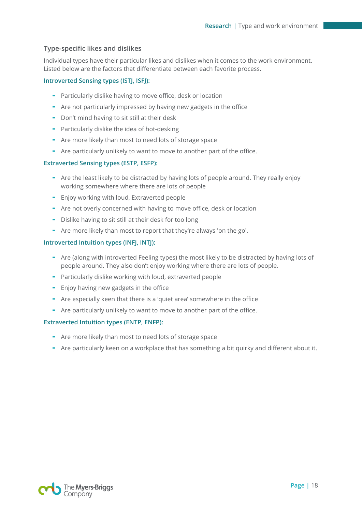### **Type-specific likes and dislikes**

Individual types have their particular likes and dislikes when it comes to the work environment. Listed below are the factors that differentiate between each favorite process.

#### **Introverted Sensing types (ISTJ, ISFJ):**

- Particularly dislike having to move office, desk or location
- Are not particularly impressed by having new gadgets in the office
- Don't mind having to sit still at their desk
- Particularly dislike the idea of hot-desking
- Are more likely than most to need lots of storage space
- Are particularly unlikely to want to move to another part of the office.

#### **Extraverted Sensing types (ESTP, ESFP):**

- Are the least likely to be distracted by having lots of people around. They really enjoy working somewhere where there are lots of people
- Enjoy working with loud, Extraverted people
- Are not overly concerned with having to move office, desk or location
- Dislike having to sit still at their desk for too long
- Are more likely than most to report that they're always 'on the go'.

#### **Introverted Intuition types (INFJ, INTJ):**

- Are (along with introverted Feeling types) the most likely to be distracted by having lots of people around. They also don't enjoy working where there are lots of people.
- Particularly dislike working with loud, extraverted people
- Enjoy having new gadgets in the office
- Are especially keen that there is a 'quiet area' somewhere in the office
- Are particularly unlikely to want to move to another part of the office.

#### **Extraverted Intuition types (ENTP, ENFP):**

- Are more likely than most to need lots of storage space
- Are particularly keen on a workplace that has something a bit quirky and different about it.

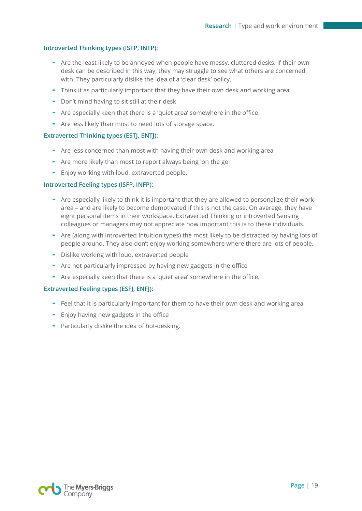#### **Introverted Thinking types (ISTP, INTP):**

- Are the least likely to be annoyed when people have messy, cluttered desks. If their own desk can be described in this way, they may struggle to see what others are concerned with. They particularly dislike the idea of a 'clear desk' policy.
- Think it as particularly important that they have their own desk and working area
- Don't mind having to sit still at their desk
- Are especially keen that there is a 'quiet area' somewhere in the office
- Are less likely than most to need lots of storage space.

#### **Extraverted Thinking types (ESTJ, ENTJ):**

- Are less concerned than most with having their own desk and working area
- Are more likely than most to report always being 'on the go'
- Enjoy working with loud, extraverted people.

#### **Introverted Feeling types (ISFP, INFP):**

- Are especially likely to think it is important that they are allowed to personalize their work area – and are likely to become demotivated if this is not the case. On average, they have eight personal items in their workspace. Extraverted Thinking or introverted Sensing colleagues or managers may not appreciate how important this is to these individuals.
- Are (along with introverted Intuition types) the most likely to be distracted by having lots of people around. They also don't enjoy working somewhere where there are lots of people.
- Dislike working with loud, extraverted people
- Are not particularly impressed by having new gadgets in the office
- Are especially keen that there is a 'quiet area' somewhere in the office.

#### **Extraverted Feeling types (ESFJ, ENFJ):**

- Feel that it is particularly important for them to have their own desk and working area
- Enjoy having new gadgets in the office
- Particularly dislike the idea of hot-desking.

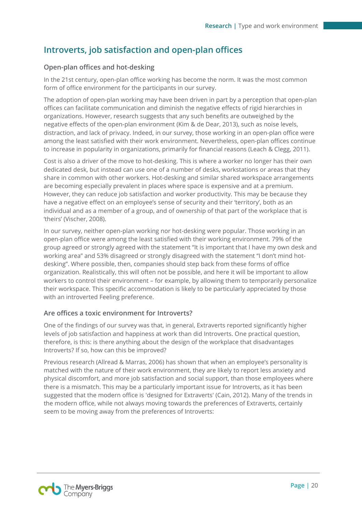## <span id="page-20-0"></span>**Introverts, job satisfaction and open-plan offices**

## **Open-plan offices and hot-desking**

In the 21st century, open-plan office working has become the norm. It was the most common form of office environment for the participants in our survey.

The adoption of open-plan working may have been driven in part by a perception that open-plan offices can facilitate communication and diminish the negative effects of rigid hierarchies in organizations. However, research suggests that any such benefits are outweighed by the negative effects of the open-plan environment (Kim & de Dear, 2013), such as noise levels, distraction, and lack of privacy. Indeed, in our survey, those working in an open-plan office were among the least satisfied with their work environment. Nevertheless, open-plan offices continue to increase in popularity in organizations, primarily for financial reasons (Leach & Clegg, 2011).

Cost is also a driver of the move to hot-desking. This is where a worker no longer has their own dedicated desk, but instead can use one of a number of desks, workstations or areas that they share in common with other workers. Hot-desking and similar shared workspace arrangements are becoming especially prevalent in places where space is expensive and at a premium. However, they can reduce job satisfaction and worker productivity. This may be because they have a negative effect on an employee's sense of security and their 'territory', both as an individual and as a member of a group, and of ownership of that part of the workplace that is 'theirs' (Vischer, 2008).

In our survey, neither open-plan working nor hot-desking were popular. Those working in an open-plan office were among the least satisfied with their working environment. 79% of the group agreed or strongly agreed with the statement "It is important that I have my own desk and working area" and 53% disagreed or strongly disagreed with the statement "I don't mind hotdesking". Where possible, then, companies should step back from these forms of office organization. Realistically, this will often not be possible, and here it will be important to allow workers to control their environment – for example, by allowing them to temporarily personalize their workspace. This specific accommodation is likely to be particularly appreciated by those with an introverted Feeling preference.

### **Are offices a toxic environment for Introverts?**

One of the findings of our survey was that, in general, Extraverts reported significantly higher levels of job satisfaction and happiness at work than did Introverts. One practical question, therefore, is this: is there anything about the design of the workplace that disadvantages Introverts? If so, how can this be improved?

Previous research (Allread & Marras, 2006) has shown that when an employee's personality is matched with the nature of their work environment, they are likely to report less anxiety and physical discomfort, and more job satisfaction and social support, than those employees where there is a mismatch. This may be a particularly important issue for Introverts, as it has been suggested that the modern office is 'designed for Extraverts' (Cain, 2012). Many of the trends in the modern office, while not always moving towards the preferences of Extraverts, certainly seem to be moving away from the preferences of Introverts:

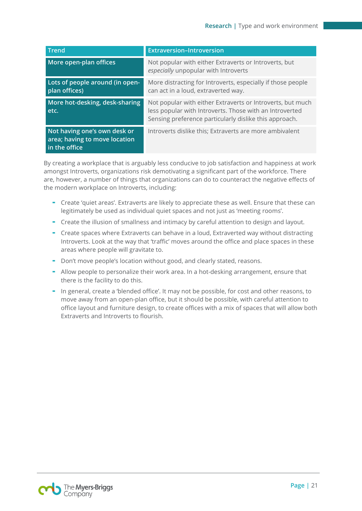| <b>Trend</b>                                                                   | <b>Extraversion-Introversion</b>                                                                                                                                                |
|--------------------------------------------------------------------------------|---------------------------------------------------------------------------------------------------------------------------------------------------------------------------------|
| More open-plan offices                                                         | Not popular with either Extraverts or Introverts, but<br>especially unpopular with Introverts                                                                                   |
| Lots of people around (in open-<br>plan offices)                               | More distracting for Introverts, especially if those people<br>can act in a loud, extraverted way.                                                                              |
| More hot-desking, desk-sharing<br>etc.                                         | Not popular with either Extraverts or Introverts, but much<br>less popular with Introverts. Those with an Introverted<br>Sensing preference particularly dislike this approach. |
| Not having one's own desk or<br>area; having to move location<br>in the office | Introverts dislike this; Extraverts are more ambivalent                                                                                                                         |

By creating a workplace that is arguably less conducive to job satisfaction and happiness at work amongst Introverts, organizations risk demotivating a significant part of the workforce. There are, however, a number of things that organizations can do to counteract the negative effects of the modern workplace on Introverts, including:

- Create 'quiet areas'. Extraverts are likely to appreciate these as well. Ensure that these can legitimately be used as individual quiet spaces and not just as 'meeting rooms'.
- Create the illusion of smallness and intimacy by careful attention to design and layout.
- Create spaces where Extraverts can behave in a loud, Extraverted way without distracting Introverts. Look at the way that 'traffic' moves around the office and place spaces in these areas where people will gravitate to.
- Don't move people's location without good, and clearly stated, reasons.
- Allow people to personalize their work area. In a hot-desking arrangement, ensure that there is the facility to do this.
- In general, create a 'blended office'. It may not be possible, for cost and other reasons, to move away from an open-plan office, but it should be possible, with careful attention to office layout and furniture design, to create offices with a mix of spaces that will allow both Extraverts and Introverts to flourish.

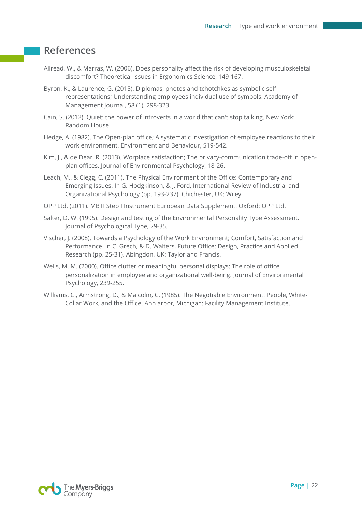## <span id="page-22-0"></span>**References**

- Allread, W., & Marras, W. (2006). Does personality affect the risk of developing musculoskeletal discomfort? Theoretical Issues in Ergonomics Science, 149-167.
- Byron, K., & Laurence, G. (2015). Diplomas, photos and tchotchkes as symbolic selfrepresentations; Understanding employees individual use of symbols. Academy of Management Journal, 58 (1), 298-323.
- Cain, S. (2012). Quiet: the power of Introverts in a world that can't stop talking. New York: Random House.
- Hedge, A. (1982). The Open-plan office; A systematic investigation of employee reactions to their work environment. Environment and Behaviour, 519-542.
- Kim, I., & de Dear, R. (2013). Worplace satisfaction; The privacy-communication trade-off in openplan offices. Journal of Environmental Psychology, 18-26.
- Leach, M., & Clegg, C. (2011). The Physical Environment of the Office: Contemporary and Emerging Issues. In G. Hodgkinson, & J. Ford, International Review of Industrial and Organizational Psychology (pp. 193-237). Chichester, UK: Wiley.
- OPP Ltd. (2011). MBTI Step I Instrument European Data Supplement. Oxford: OPP Ltd.
- Salter, D. W. (1995). Design and testing of the Environmental Personality Type Assessment. Journal of Psychological Type, 29-35.
- Vischer, J. (2008). Towards a Psychology of the Work Environment; Comfort, Satisfaction and Performance. In C. Grech, & D. Walters, Future Office: Design, Practice and Applied Research (pp. 25-31). Abingdon, UK: Taylor and Francis.
- Wells, M. M. (2000). Office clutter or meaningful personal displays: The role of office personalization in employee and organizational well-being. Journal of Environmental Psychology, 239-255.
- Williams, C., Armstrong, D., & Malcolm, C. (1985). The Negotiable Environment: People, White-Collar Work, and the Office. Ann arbor, Michigan: Facility Management Institute.

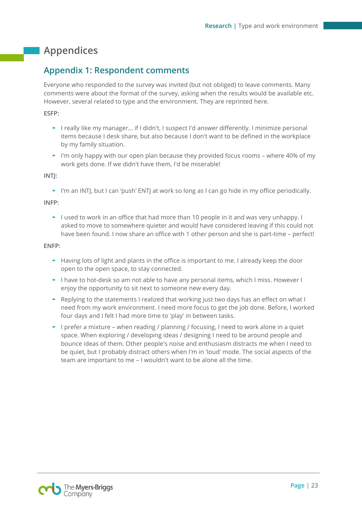# <span id="page-23-0"></span>**Appendices**

## <span id="page-23-1"></span>**Appendix 1: Respondent comments**

Everyone who responded to the survey was invited (but not obliged) to leave comments. Many comments were about the format of the survey, asking when the results would be available etc. However, several related to type and the environment. They are reprinted here.

### **ESFP:**

- I really like my manager... if I didn't, I suspect I'd answer differently. I minimize personal items because I desk share, but also because I don't want to be defined in the workplace by my family situation.
- I'm only happy with our open plan because they provided focus rooms where 40% of my work gets done. If we didn't have them, I'd be miserable!

#### **INTJ:**

- I'm an INTJ, but I can 'push' ENTJ at work so long as I can go hide in my office periodically.

#### **INFP:**

- I used to work in an office that had more than 10 people in it and was very unhappy. I asked to move to somewhere quieter and would have considered leaving if this could not have been found. I now share an office with 1 other person and she is part-time – perfect!

#### **ENFP:**

- Having lots of light and plants in the office is important to me. I already keep the door open to the open space, to stay connected.
- I have to hot-desk so am not able to have any personal items, which I miss. However I enjoy the opportunity to sit next to someone new every day.
- Replying to the statements I realized that working just two days has an effect on what I need from my work environment. I need more focus to get the job done. Before, I worked four days and I felt I had more time to 'play' in between tasks.
- I prefer a mixture when reading / planning / focusing, I need to work alone in a quiet space. When exploring / developing ideas / designing I need to be around people and bounce ideas of them. Other people's noise and enthusiasm distracts me when I need to be quiet, but I probably distract others when I'm in 'loud' mode. The social aspects of the team are important to me – I wouldn't want to be alone all the time.